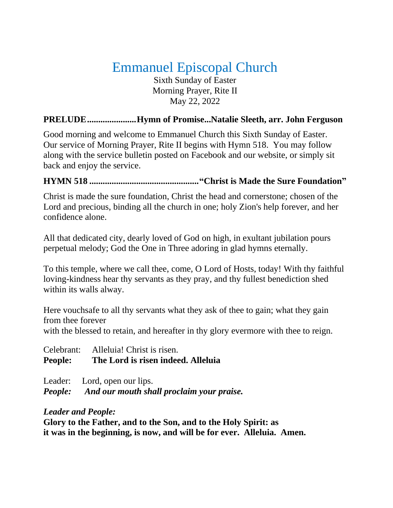# Emmanuel Episcopal Church

Sixth Sunday of Easter Morning Prayer, Rite II May 22, 2022

# **PRELUDE......................Hymn of Promise...Natalie Sleeth, arr. John Ferguson**

Good morning and welcome to Emmanuel Church this Sixth Sunday of Easter. Our service of Morning Prayer, Rite II begins with Hymn 518. You may follow along with the service bulletin posted on Facebook and our website, or simply sit back and enjoy the service.

#### **HYMN 518 ................................................."Christ is Made the Sure Foundation"**

Christ is made the sure foundation, Christ the head and cornerstone; chosen of the Lord and precious, binding all the church in one; holy Zion's help forever, and her confidence alone.

All that dedicated city, dearly loved of God on high, in exultant jubilation pours perpetual melody; God the One in Three adoring in glad hymns eternally.

To this temple, where we call thee, come, O Lord of Hosts, today! With thy faithful loving-kindness hear thy servants as they pray, and thy fullest benediction shed within its walls alway.

Here vouchsafe to all thy servants what they ask of thee to gain; what they gain from thee forever with the blessed to retain, and hereafter in thy glory evermore with thee to reign.

Celebrant: Alleluia! Christ is risen. **People: The Lord is risen indeed. Alleluia**

Leader: Lord, open our lips. *People: And our mouth shall proclaim your praise.*

*Leader and People:*

**Glory to the Father, and to the Son, and to the Holy Spirit: as it was in the beginning, is now, and will be for ever. Alleluia. Amen.**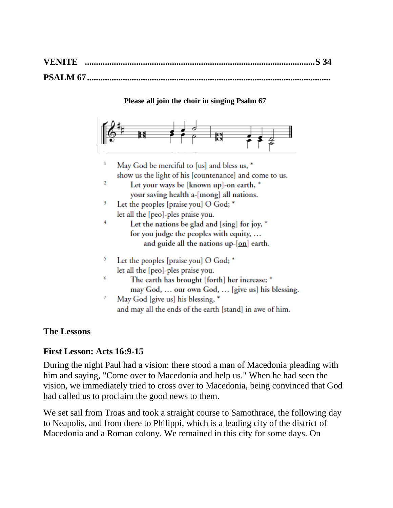| <b>VENITE</b> |  |
|---------------|--|
|               |  |

**Please all join the choir in singing Psalm 67**



- May God be merciful to [us] and bless us, \* show us the light of his [countenance] and come to us.
- $\overline{2}$ Let your ways be [known up]-on earth, \* your saving health a-[mong] all nations.
- 3 Let the peoples [praise you] O God; \* let all the [peo]-ples praise you.
	- Let the nations be glad and  $[sing]$  for joy,  $*$ for you judge the peoples with equity, ... and guide all the nations up-[on] earth.
- 5 Let the peoples [praise you]  $O God; *$ let all the [peo]-ples praise you.
- 6 The earth has brought [forth] her increase; \* may God, ... our own God, ... [give us] his blessing.
- 7 May God [give us] his blessing, \* and may all the ends of the earth [stand] in awe of him.

# **The Lessons**

# **First Lesson: Acts 16:9-15**

4

During the night Paul had a vision: there stood a man of Macedonia pleading with him and saying, "Come over to Macedonia and help us." When he had seen the vision, we immediately tried to cross over to Macedonia, being convinced that God had called us to proclaim the good news to them.

We set sail from Troas and took a straight course to Samothrace, the following day to Neapolis, and from there to Philippi, which is a leading city of the district of Macedonia and a Roman colony. We remained in this city for some days. On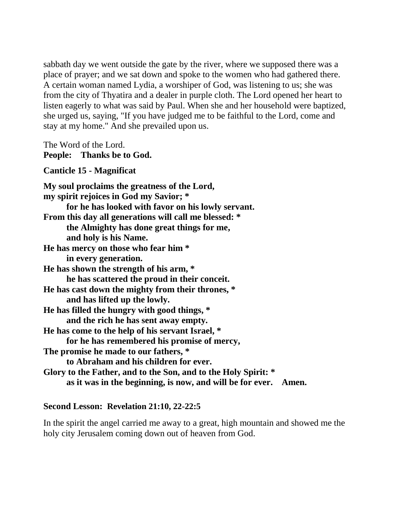sabbath day we went outside the gate by the river, where we supposed there was a place of prayer; and we sat down and spoke to the women who had gathered there. A certain woman named Lydia, a worshiper of God, was listening to us; she was from the city of Thyatira and a dealer in purple cloth. The Lord opened her heart to listen eagerly to what was said by Paul. When she and her household were baptized, she urged us, saying, "If you have judged me to be faithful to the Lord, come and stay at my home." And she prevailed upon us.

The Word of the Lord. **People: Thanks be to God. Canticle 15 - Magnificat My soul proclaims the greatness of the Lord, my spirit rejoices in God my Savior; \* for he has looked with favor on his lowly servant. From this day all generations will call me blessed: \* the Almighty has done great things for me, and holy is his Name. He has mercy on those who fear him \* in every generation. He has shown the strength of his arm, \* he has scattered the proud in their conceit. He has cast down the mighty from their thrones, \* and has lifted up the lowly. He has filled the hungry with good things, \* and the rich he has sent away empty. He has come to the help of his servant Israel, \* for he has remembered his promise of mercy, The promise he made to our fathers, \***

**to Abraham and his children for ever. Glory to the Father, and to the Son, and to the Holy Spirit: \* as it was in the beginning, is now, and will be for ever. Amen.** 

#### **Second Lesson: Revelation 21:10, 22-22:5**

In the spirit the angel carried me away to a great, high mountain and showed me the holy city Jerusalem coming down out of heaven from God.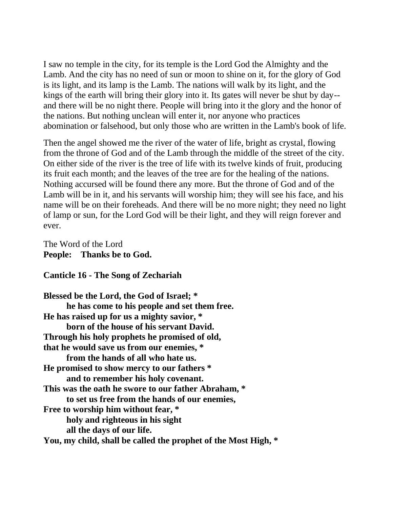I saw no temple in the city, for its temple is the Lord God the Almighty and the Lamb. And the city has no need of sun or moon to shine on it, for the glory of God is its light, and its lamp is the Lamb. The nations will walk by its light, and the kings of the earth will bring their glory into it. Its gates will never be shut by day- and there will be no night there. People will bring into it the glory and the honor of the nations. But nothing unclean will enter it, nor anyone who practices abomination or falsehood, but only those who are written in the Lamb's book of life.

Then the angel showed me the river of the water of life, bright as crystal, flowing from the throne of God and of the Lamb through the middle of the street of the city. On either side of the river is the tree of life with its twelve kinds of fruit, producing its fruit each month; and the leaves of the tree are for the healing of the nations. Nothing accursed will be found there any more. But the throne of God and of the Lamb will be in it, and his servants will worship him; they will see his face, and his name will be on their foreheads. And there will be no more night; they need no light of lamp or sun, for the Lord God will be their light, and they will reign forever and ever.

The Word of the Lord **People: Thanks be to God.**

#### **Canticle 16 - The Song of Zechariah**

**Blessed be the Lord, the God of Israel; \* he has come to his people and set them free. He has raised up for us a mighty savior, \* born of the house of his servant David. Through his holy prophets he promised of old, that he would save us from our enemies, \* from the hands of all who hate us. He promised to show mercy to our fathers \* and to remember his holy covenant. This was the oath he swore to our father Abraham, \* to set us free from the hands of our enemies, Free to worship him without fear, \* holy and righteous in his sight all the days of our life. You, my child, shall be called the prophet of the Most High, \***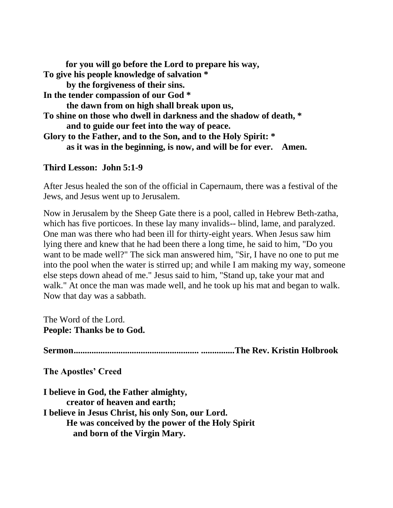| for you will go before the Lord to prepare his way,                |  |  |
|--------------------------------------------------------------------|--|--|
| To give his people knowledge of salvation *                        |  |  |
| by the forgiveness of their sins.                                  |  |  |
| In the tender compassion of our God *                              |  |  |
| the dawn from on high shall break upon us,                         |  |  |
| To shine on those who dwell in darkness and the shadow of death, * |  |  |
| and to guide our feet into the way of peace.                       |  |  |
| Glory to the Father, and to the Son, and to the Holy Spirit: *     |  |  |
| as it was in the beginning, is now, and will be for ever. Amen.    |  |  |

#### **Third Lesson: John 5:1-9**

After Jesus healed the son of the official in Capernaum, there was a festival of the Jews, and Jesus went up to Jerusalem.

Now in Jerusalem by the Sheep Gate there is a pool, called in Hebrew Beth-zatha, which has five porticoes. In these lay many invalids-- blind, lame, and paralyzed. One man was there who had been ill for thirty-eight years. When Jesus saw him lying there and knew that he had been there a long time, he said to him, "Do you want to be made well?" The sick man answered him, "Sir, I have no one to put me into the pool when the water is stirred up; and while I am making my way, someone else steps down ahead of me." Jesus said to him, "Stand up, take your mat and walk." At once the man was made well, and he took up his mat and began to walk. Now that day was a sabbath.

The Word of the Lord. **People: Thanks be to God.**

**Sermon........................................................ ...............The Rev. Kristin Holbrook**

**The Apostles' Creed**

**I believe in God, the Father almighty, creator of heaven and earth; I believe in Jesus Christ, his only Son, our Lord. He was conceived by the power of the Holy Spirit and born of the Virgin Mary.**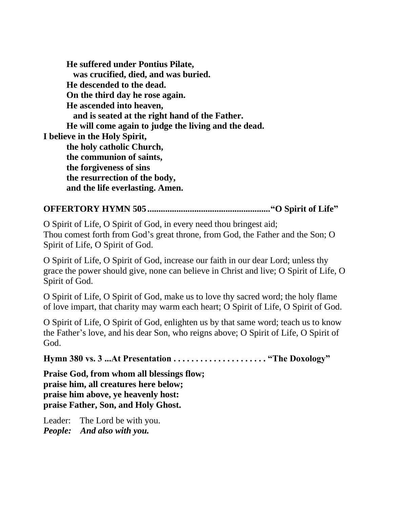**He suffered under Pontius Pilate, was crucified, died, and was buried. He descended to the dead. On the third day he rose again. He ascended into heaven, and is seated at the right hand of the Father. He will come again to judge the living and the dead. I believe in the Holy Spirit, the holy catholic Church, the communion of saints, the forgiveness of sins the resurrection of the body, and the life everlasting. Amen.** 

# **OFFERTORY HYMN 505 ......................................................."O Spirit of Life"**

O Spirit of Life, O Spirit of God, in every need thou bringest aid; Thou comest forth from God's great throne, from God, the Father and the Son; O Spirit of Life, O Spirit of God.

O Spirit of Life, O Spirit of God, increase our faith in our dear Lord; unless thy grace the power should give, none can believe in Christ and live; O Spirit of Life, O Spirit of God.

O Spirit of Life, O Spirit of God, make us to love thy sacred word; the holy flame of love impart, that charity may warm each heart; O Spirit of Life, O Spirit of God.

O Spirit of Life, O Spirit of God, enlighten us by that same word; teach us to know the Father's love, and his dear Son, who reigns above; O Spirit of Life, O Spirit of God.

**Hymn 380 vs. 3 ...At Presentation . . . . . . . . . . . . . . . . . . . . . "The Doxology"**

**Praise God, from whom all blessings flow; praise him, all creatures here below; praise him above, ye heavenly host: praise Father, Son, and Holy Ghost.** 

Leader: The Lord be with you. *People: And also with you.*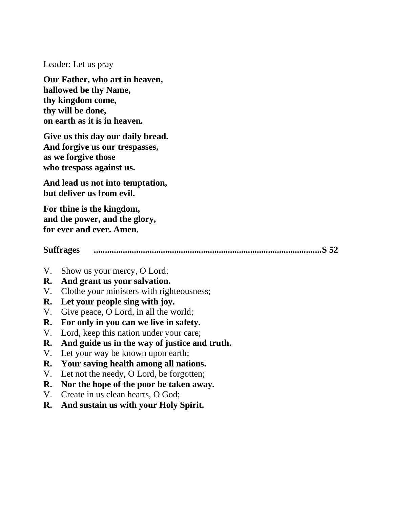Leader: Let us pray

**Our Father, who art in heaven, hallowed be thy Name, thy kingdom come, thy will be done, on earth as it is in heaven.**

**Give us this day our daily bread. And forgive us our trespasses, as we forgive those who trespass against us.**

**And lead us not into temptation, but deliver us from evil.**

**For thine is the kingdom, and the power, and the glory, for ever and ever. Amen.**

# **Suffrages ......................................................................................................S 52**

- V. Show us your mercy, O Lord;
- **R. And grant us your salvation.**
- V. Clothe your ministers with righteousness;
- **R. Let your people sing with joy.**
- V. Give peace, O Lord, in all the world;
- **R. For only in you can we live in safety.**
- V. Lord, keep this nation under your care;
- **R. And guide us in the way of justice and truth.**
- V. Let your way be known upon earth;
- **R. Your saving health among all nations.**
- V. Let not the needy, O Lord, be forgotten;
- **R. Nor the hope of the poor be taken away.**
- V. Create in us clean hearts, O God;
- **R. And sustain us with your Holy Spirit.**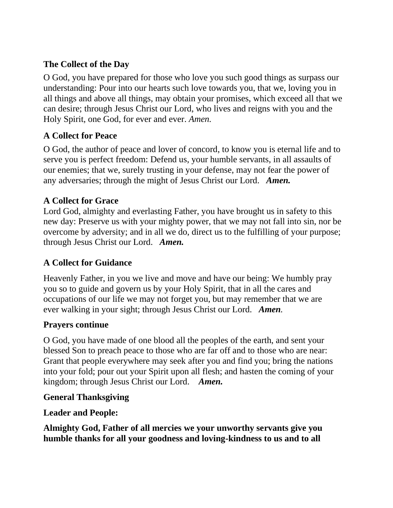# **The Collect of the Day**

O God, you have prepared for those who love you such good things as surpass our understanding: Pour into our hearts such love towards you, that we, loving you in all things and above all things, may obtain your promises, which exceed all that we can desire; through Jesus Christ our Lord, who lives and reigns with you and the Holy Spirit, one God, for ever and ever. *Amen.*

# **A Collect for Peace**

O God, the author of peace and lover of concord, to know you is eternal life and to serve you is perfect freedom: Defend us, your humble servants, in all assaults of our enemies; that we, surely trusting in your defense, may not fear the power of any adversaries; through the might of Jesus Christ our Lord. *Amen.*

# **A Collect for Grace**

Lord God, almighty and everlasting Father, you have brought us in safety to this new day: Preserve us with your mighty power, that we may not fall into sin, nor be overcome by adversity; and in all we do, direct us to the fulfilling of your purpose; through Jesus Christ our Lord. *Amen.*

# **A Collect for Guidance**

Heavenly Father, in you we live and move and have our being: We humbly pray you so to guide and govern us by your Holy Spirit, that in all the cares and occupations of our life we may not forget you, but may remember that we are ever walking in your sight; through Jesus Christ our Lord. *Amen.*

# **Prayers continue**

O God, you have made of one blood all the peoples of the earth, and sent your blessed Son to preach peace to those who are far off and to those who are near: Grant that people everywhere may seek after you and find you; bring the nations into your fold; pour out your Spirit upon all flesh; and hasten the coming of your kingdom; through Jesus Christ our Lord. *Amen.* 

# **General Thanksgiving**

# **Leader and People:**

**Almighty God, Father of all mercies we your unworthy servants give you humble thanks for all your goodness and loving-kindness to us and to all**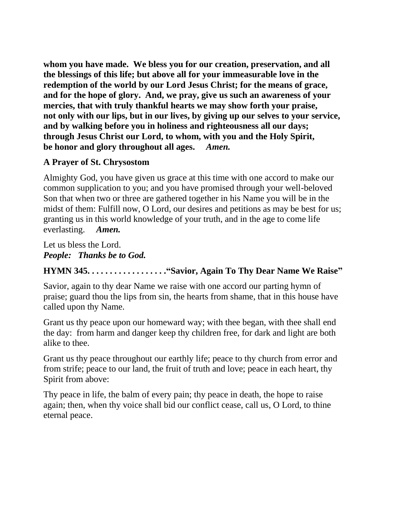**whom you have made. We bless you for our creation, preservation, and all the blessings of this life; but above all for your immeasurable love in the redemption of the world by our Lord Jesus Christ; for the means of grace, and for the hope of glory. And, we pray, give us such an awareness of your mercies, that with truly thankful hearts we may show forth your praise, not only with our lips, but in our lives, by giving up our selves to your service, and by walking before you in holiness and righteousness all our days; through Jesus Christ our Lord, to whom, with you and the Holy Spirit, be honor and glory throughout all ages.** *Amen.* 

# **A Prayer of St. Chrysostom**

Almighty God, you have given us grace at this time with one accord to make our common supplication to you; and you have promised through your well-beloved Son that when two or three are gathered together in his Name you will be in the midst of them: Fulfill now, O Lord, our desires and petitions as may be best for us; granting us in this world knowledge of your truth, and in the age to come life everlasting. *Amen.*

Let us bless the Lord. *People: Thanks be to God.*

# **HYMN 345. . . . . . . . . . . . . . . . . ."Savior, Again To Thy Dear Name We Raise"**

Savior, again to thy dear Name we raise with one accord our parting hymn of praise; guard thou the lips from sin, the hearts from shame, that in this house have called upon thy Name.

Grant us thy peace upon our homeward way; with thee began, with thee shall end the day: from harm and danger keep thy children free, for dark and light are both alike to thee.

Grant us thy peace throughout our earthly life; peace to thy church from error and from strife; peace to our land, the fruit of truth and love; peace in each heart, thy Spirit from above:

Thy peace in life, the balm of every pain; thy peace in death, the hope to raise again; then, when thy voice shall bid our conflict cease, call us, O Lord, to thine eternal peace.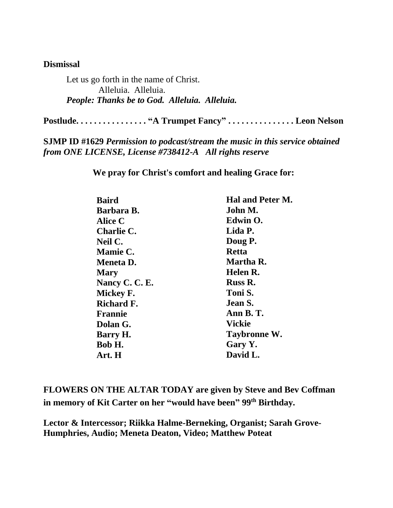#### **Dismissal**

Let us go forth in the name of Christ. Alleluia. Alleluia. *People: Thanks be to God. Alleluia. Alleluia.*

**Postlude. . . . . . . . . . . . . . . . "A Trumpet Fancy" . . . . . . . . . . . . . . . Leon Nelson**

**SJMP ID #1629** *Permission to podcast/stream the music in this service obtained from ONE LICENSE, License #738412-A All rights reserve*

**We pray for Christ's comfort and healing Grace for:**

| <b>Baird</b>   | Hal and Peter M. |
|----------------|------------------|
| Barbara B.     | John M.          |
| Alice C        | Edwin O.         |
| Charlie C.     | Lida P.          |
| Neil C.        | Doug P.          |
| Mamie C.       | <b>Retta</b>     |
| Meneta D.      | Martha R.        |
| <b>Mary</b>    | Helen R.         |
| Nancy C. C. E. | Russ R.          |
| Mickey F.      | Toni S.          |
| Richard F.     | Jean S.          |
| Frannie        | Ann B.T.         |
| Dolan G.       | <b>Vickie</b>    |
| Barry H.       | Taybronne W.     |
| Bob H.         | Gary Y.          |
| Art. H         | David L.         |

**FLOWERS ON THE ALTAR TODAY are given by Steve and Bev Coffman in memory of Kit Carter on her "would have been" 99th Birthday.**

**Lector & Intercessor; Riikka Halme-Berneking, Organist; Sarah Grove-Humphries, Audio; Meneta Deaton, Video; Matthew Poteat**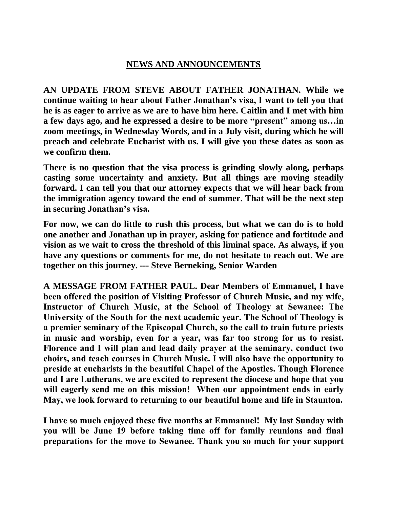# **NEWS AND ANNOUNCEMENTS**

**AN UPDATE FROM STEVE ABOUT FATHER JONATHAN. While we continue waiting to hear about Father Jonathan's visa, I want to tell you that he is as eager to arrive as we are to have him here. Caitlin and I met with him a few days ago, and he expressed a desire to be more "present" among us…in zoom meetings, in Wednesday Words, and in a July visit, during which he will preach and celebrate Eucharist with us. I will give you these dates as soon as we confirm them.**

**There is no question that the visa process is grinding slowly along, perhaps casting some uncertainty and anxiety. But all things are moving steadily forward. I can tell you that our attorney expects that we will hear back from the immigration agency toward the end of summer. That will be the next step in securing Jonathan's visa.**

**For now, we can do little to rush this process, but what we can do is to hold one another and Jonathan up in prayer, asking for patience and fortitude and vision as we wait to cross the threshold of this liminal space. As always, if you have any questions or comments for me, do not hesitate to reach out. We are together on this journey. --- Steve Berneking, Senior Warden**

**A MESSAGE FROM FATHER PAUL. Dear Members of Emmanuel, I have been offered the position of Visiting Professor of Church Music, and my wife, Instructor of Church Music, at the School of Theology at Sewanee: The University of the South for the next academic year. The School of Theology is a premier seminary of the Episcopal Church, so the call to train future priests in music and worship, even for a year, was far too strong for us to resist. Florence and I will plan and lead daily prayer at the seminary, conduct two choirs, and teach courses in Church Music. I will also have the opportunity to preside at eucharists in the beautiful Chapel of the Apostles. Though Florence and I are Lutherans, we are excited to represent the diocese and hope that you will eagerly send me on this mission! When our appointment ends in early May, we look forward to returning to our beautiful home and life in Staunton.** 

**I have so much enjoyed these five months at Emmanuel! My last Sunday with you will be June 19 before taking time off for family reunions and final preparations for the move to Sewanee. Thank you so much for your support**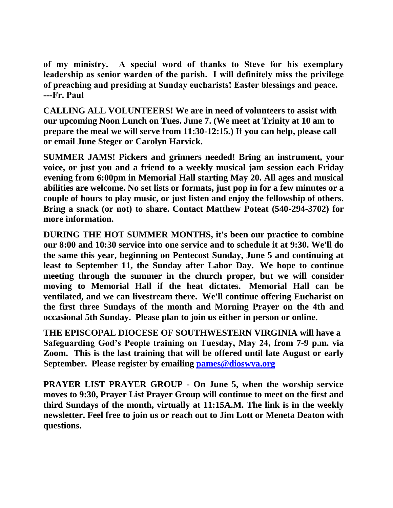**of my ministry. A special word of thanks to Steve for his exemplary leadership as senior warden of the parish. I will definitely miss the privilege of preaching and presiding at Sunday eucharists! Easter blessings and peace. ---Fr. Paul**

**CALLING ALL VOLUNTEERS! We are in need of volunteers to assist with our upcoming Noon Lunch on Tues. June 7. (We meet at Trinity at 10 am to prepare the meal we will serve from 11:30-12:15.) If you can help, please call or email June Steger or Carolyn Harvick.** 

**SUMMER JAMS! Pickers and grinners needed! Bring an instrument, your voice, or just you and a friend to a weekly musical jam session each Friday evening from 6:00pm in Memorial Hall starting May 20. All ages and musical abilities are welcome. No set lists or formats, just pop in for a few minutes or a couple of hours to play music, or just listen and enjoy the fellowship of others. Bring a snack (or not) to share. Contact Matthew Poteat (540-294-3702) for more information.**

**DURING THE HOT SUMMER MONTHS, it's been our practice to combine our 8:00 and 10:30 service into one service and to schedule it at 9:30. We'll do the same this year, beginning on Pentecost Sunday, June 5 and continuing at least to September 11, the Sunday after Labor Day. We hope to continue meeting through the summer in the church proper, but we will consider moving to Memorial Hall if the heat dictates. Memorial Hall can be ventilated, and we can livestream there. We'll continue offering Eucharist on the first three Sundays of the month and Morning Prayer on the 4th and occasional 5th Sunday. Please plan to join us either in person or online.**

**THE EPISCOPAL DIOCESE OF SOUTHWESTERN VIRGINIA will have a Safeguarding God's People training on Tuesday, May 24, from 7-9 p.m. via Zoom. This is the last training that will be offered until late August or early September. Please register by emailing [pames@dioswva.org](mailto:pames@dioswva.org)**

**PRAYER LIST PRAYER GROUP - On June 5, when the worship service moves to 9:30, Prayer List Prayer Group will continue to meet on the first and third Sundays of the month, virtually at 11:15A.M. The link is in the weekly newsletter. Feel free to join us or reach out to Jim Lott or Meneta Deaton with questions.**